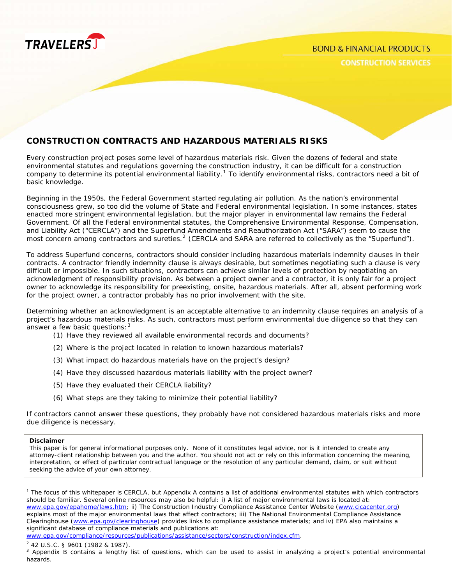

## **CONSTRUCTION CONTRACTS AND HAZARDOUS MATERIALS RISKS**

Every construction project poses some level of hazardous materials risk. Given the dozens of federal and state environmental statutes and regulations governing the construction industry, it can be difficult for a construction company to determine its potential environmental liability.<sup>[1](#page-0-0)</sup> To identify environmental risks, contractors need a bit of basic knowledge.

Beginning in the 1950s, the Federal Government started regulating air pollution. As the nation's environmental consciousness grew, so too did the volume of State and Federal environmental legislation. In some instances, states enacted more stringent environmental legislation, but the major player in environmental law remains the Federal Government. Of all the Federal environmental statutes, the Comprehensive Environmental Response, Compensation, and Liability Act ("CERCLA") and the Superfund Amendments and Reauthorization Act ("SARA") seem to cause the most concern among contractors and sureties.<sup>[2](#page-0-1)</sup> (CERCLA and SARA are referred to collectively as the "Superfund").

To address Superfund concerns, contractors should consider including hazardous materials indemnity clauses in their contracts. A contractor friendly indemnity clause is always desirable, but sometimes negotiating such a clause is very difficult or impossible. In such situations, contractors can achieve similar levels of protection by negotiating an acknowledgment of responsibility provision. As between a project owner and a contractor, it is only fair for a project owner to acknowledge its responsibility for preexisting, onsite, hazardous materials. After all, absent performing work for the project owner, a contractor probably has no prior involvement with the site.

Determining whether an acknowledgment is an acceptable alternative to an indemnity clause requires an analysis of a project's hazardous materials risks. As such, contractors must perform environmental due diligence so that they can answer a few basic questions:  $3$ 

- (1) Have they reviewed all available environmental records and documents?
- (2) Where is the project located in relation to known hazardous materials?
- (3) What impact do hazardous materials have on the project's design?
- (4) Have they discussed hazardous materials liability with the project owner?
- (5) Have they evaluated their CERCLA liability?
- (6) What steps are they taking to minimize their potential liability?

If contractors cannot answer these questions, they probably have not considered hazardous materials risks and more due diligence is necessary.

#### **Disclaimer**

 $\overline{a}$ 

This paper is for general informational purposes only. None of it constitutes legal advice, nor is it intended to create any attorney-client relationship between you and the author. You should not act or rely on this information concerning the meaning, interpretation, or effect of particular contractual language or the resolution of any particular demand, claim, or suit without seeking the advice of your own attorney.

<span id="page-0-0"></span><sup>&</sup>lt;sup>1</sup> The focus of this whitepaper is CERCLA, but Appendix A contains a list of additional environmental statutes with which contractors should be familiar. Several online resources may also be helpful: i) A list of major environmental laws is located at: [www.epa.gov/epahome/laws.htm;](http://www.epa.gov/epahome/laws.htm) ii) The Construction Industry Compliance Assistance Center Website ([www.cicacenter.org](http://www.cicacenter.org/)) explains most of the major environmental laws that affect contractors; iii) The National Environmental Compliance Assistance Clearinghouse [\(www.epa.gov/clearinghouse](http://www.epa.gov/clearinghouse)) provides links to compliance assistance materials; and iv) EPA also maintains a significant database of compliance materials and publications at: [www.epa.gov/compliance/resources/publications/assistance/sectors/construction/index.cfm](http://www.epa.gov/compliance/resources/publications/assistance/sectors/construction/index.cfm).

<span id="page-0-1"></span><sup>&</sup>lt;sup>2</sup> 42 U.S.C. § 9601 (1982 & 1987).

<span id="page-0-2"></span><sup>&</sup>lt;sup>3</sup> Appendix B contains a lengthy list of questions, which can be used to assist in analyzing a project's potential environmental hazards.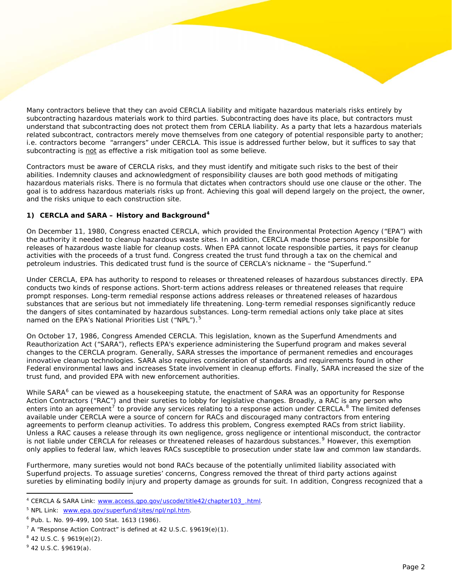Many contractors believe that they can avoid CERCLA liability and mitigate hazardous materials risks entirely by subcontracting hazardous materials work to third parties. Subcontracting does have its place, but contractors must understand that subcontracting does not protect them from CERLA liability. As a party that lets a hazardous materials related subcontract, contractors merely move themselves from one category of potential responsible party to another; i.e. contractors become "arrangers" under CERCLA. This issue is addressed further below, but it suffices to say that subcontracting is not as effective a risk mitigation tool as some believe.

Contractors must be aware of CERCLA risks, and they must identify and mitigate such risks to the best of their abilities. Indemnity clauses and acknowledgment of responsibility clauses are both good methods of mitigating hazardous materials risks. There is no formula that dictates when contractors should use one clause or the other. The goal is to address hazardous materials risks up front. Achieving this goal will depend largely on the project, the owner, and the risks unique to each construction site.

#### **1) CERCLA and SARA – History and Background[4](#page-1-0)**

On December 11, 1980, Congress enacted CERCLA, which provided the Environmental Protection Agency ("EPA") with the authority it needed to cleanup hazardous waste sites. In addition, CERCLA made those persons responsible for releases of hazardous waste liable for cleanup costs. When EPA cannot locate responsible parties, it pays for cleanup activities with the proceeds of a trust fund. Congress created the trust fund through a tax on the chemical and petroleum industries. This dedicated trust fund is the source of CERCLA's nickname – the "Superfund."

Under CERCLA, EPA has authority to respond to releases or threatened releases of hazardous substances directly. EPA conducts two kinds of response actions. Short-term actions address releases or threatened releases that require prompt responses. Long-term remedial response actions address releases or threatened releases of hazardous substances that are serious but not immediately life threatening. Long-term remedial responses significantly reduce the dangers of sites contaminated by hazardous substances. Long-term remedial actions only take place at sites named on the EPA's National Priorities List ("NPL").<sup>[5](#page-1-1)</sup>

On October 17, 1986, Congress Amended CERCLA. This legislation, known as the Superfund Amendments and Reauthorization Act ("SARA"), reflects EPA's experience administering the Superfund program and makes several changes to the CERCLA program. Generally, SARA stresses the importance of permanent remedies and encourages innovative cleanup technologies. SARA also requires consideration of standards and requirements found in other Federal environmental laws and increases State involvement in cleanup efforts. Finally, SARA increased the size of the trust fund, and provided EPA with new enforcement authorities.

While SARA<sup>[6](#page-1-2)</sup> can be viewed as a housekeeping statute, the enactment of SARA was an opportunity for Response Action Contractors ("RAC") and their sureties to lobby for legislative changes. Broadly, a RAC is any person who enters into an agreement<sup>[7](#page-1-3)</sup> to provide any services relating to a response action under CERCLA.<sup>[8](#page-1-4)</sup> The limited defenses available under CERCLA were a source of concern for RACs and discouraged many contractors from entering agreements to perform cleanup activities. To address this problem, Congress exempted RACs from strict liability. Unless a RAC causes a release through its own negligence, gross negligence or intentional misconduct, the contractor is not liable under CERCLA for releases or threatened releases of hazardous substances.<sup>[9](#page-1-5)</sup> However, this exemption only applies to federal law, which leaves RACs susceptible to prosecution under state law and common law standards.

Furthermore, many sureties would not bond RACs because of the potentially unlimited liability associated with Superfund projects. To assuage sureties' concerns, Congress removed the threat of third party actions against sureties by eliminating bodily injury and property damage as grounds for suit. In addition, Congress recognized that a

<span id="page-1-0"></span> 4 CERCLA & SARA Link: [www.access.gpo.gov/uscode/title42/chapter103\\_.html](http://www.access.gpo.gov/uscode/title42/chapter103_.html).

<span id="page-1-1"></span><sup>&</sup>lt;sup>5</sup> NPL Link: [www.epa.gov/superfund/sites/npl/npl.htm](http://www.epa.gov/superfund/sites/npl/npl.htm).

<span id="page-1-2"></span><sup>6</sup> Pub. L. No. 99-499, 100 Stat. 1613 (1986).

<span id="page-1-3"></span> $7$  A "Response Action Contract" is defined at 42 U.S.C. §9619 $(e)(1)$ .

<span id="page-1-4"></span> $842$  U.S.C. § 9619(e)(2).

<span id="page-1-5"></span> $942$  U.S.C. §9619(a).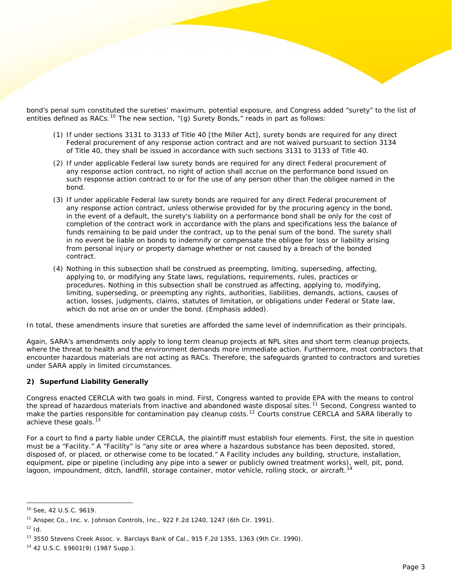bond's penal sum constituted the sureties' maximum, potential exposure, and Congress added "surety" to the list of entities defined as RACs.<sup>[10](#page-2-0)</sup> The new section, "(g) Surety Bonds," reads in part as follows:

- (1) If under sections 3131 to 3133 of Title 40 [the Miller Act], surety bonds are required for any direct Federal procurement of any response action contract and are not waived pursuant to section 3134 of Title 40, they shall be issued in accordance with such sections 3131 to 3133 of Title 40.
- (2) If under applicable Federal law surety bonds are required for any direct Federal procurement of any response action contract, no right of action shall accrue on the performance bond issued on such response action contract to or for the use of any person other than the obligee named in the bond.
- (3) If under applicable Federal law surety bonds are required for any direct Federal procurement of any response action contract, unless otherwise provided for by the procuring agency in the bond, in the event of a default, the surety's liability on a performance bond shall be only for the cost of completion of the contract work in accordance with the plans and specifications less the balance of funds remaining to be paid under the contract, up to the penal sum of the bond. The surety shall in no event be liable on bonds to indemnify or compensate the obligee for loss or liability arising from personal injury or property damage whether or not caused by a breach of the bonded contract.
- (4) Nothing in this subsection shall be construed as preempting, limiting, superseding, affecting, applying to, or modifying any State laws, regulations, requirements, rules, practices or procedures. Nothing in this subsection shall be construed as affecting, applying to, modifying, limiting, superseding, or preempting any rights, authorities, liabilities, demands, actions, causes of action, losses, judgments, claims, statutes of limitation, or obligations under Federal or State law, which do not arise on or under the bond. (Emphasis added).

In total, these amendments insure that sureties are afforded the same level of indemnification as their principals.

Again, SARA's amendments only apply to long term cleanup projects at NPL sites and short term cleanup projects, where the threat to health and the environment demands more immediate action. Furthermore, most contractors that encounter hazardous materials are not acting as RACs. Therefore, the safeguards granted to contractors and sureties under SARA apply in limited circumstances.

#### **2) Superfund Liability Generally**

Congress enacted CERCLA with two goals in mind. First, Congress wanted to provide EPA with the means to control the spread of hazardous materials from inactive and abandoned waste disposal sites.<sup>[11](#page-2-1)</sup> Second, Congress wanted to make the parties responsible for contamination pay cleanup costs.<sup>[12](#page-2-2)</sup> Courts construe CERCLA and SARA liberally to achieve these goals.<sup>1</sup>

For a court to find a party liable under CERCLA, the plaintiff must establish four elements. First, the site in question must be a "Facility." A "Facility" is "any site or area where a hazardous substance has been deposited, stored, disposed of, or placed, or otherwise come to be located." A Facility includes any building, structure, installation, equipment, pipe or pipeline (including any pipe into a sewer or publicly owned treatment works), well, pit, pond, lagoon, impoundment, ditch, landfill, storage container, motor vehicle, rolling stock, or aircraft.<sup>[14](#page-2-4)</sup>

<span id="page-2-0"></span><sup>10</sup> See, 42 U.S.C. 9619.

<span id="page-2-1"></span><sup>11</sup> Anspec Co., Inc. v. Johnson Controls, Inc.*,* 922 F.2d 1240, 1247 (6th Cir. 1991).

<span id="page-2-2"></span> $12$  Id.

<span id="page-2-3"></span><sup>13 3550</sup> Stevens Creek Assoc. v. Barclays Bank of Cal.*,* 915 F.2d 1355, 1363 (9th Cir. 1990).

<span id="page-2-4"></span><sup>14 42</sup> U.S.C. §9601(9) (1987 Supp.).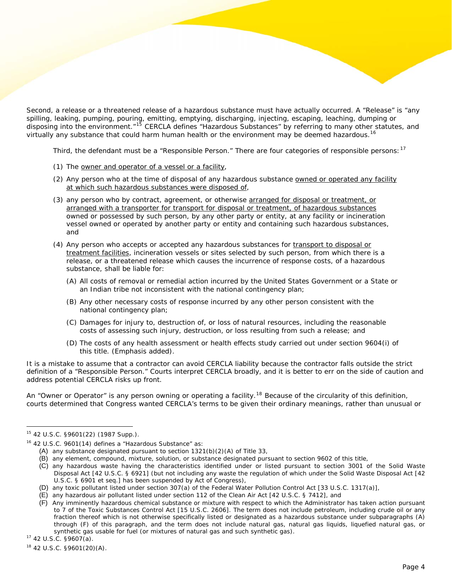Second, a release or a threatened release of a hazardous substance must have actually occurred. A "Release" is "any spilling, leaking, pumping, pouring, emitting, emptying, discharging, injecting, escaping, leaching, dumping or disposing into the environment."<sup>[15](#page-3-0)</sup> CERCLA defines "Hazardous Substances" by referring to many other statutes, and virtually any substance that could harm human health or the environment may be deemed hazardous.<sup>[16](#page-3-1)</sup>

Third, the defendant must be a "Responsible Person." There are four categories of responsible persons: <sup>[17](#page-3-2)</sup>

- (1) The owner and operator of a vessel or a facility,
- (2) Any person who at the time of disposal of any hazardous substance owned or operated any facility at which such hazardous substances were disposed of,
- (3) any person who by contract, agreement, or otherwise arranged for disposal or treatment, or arranged with a transporter for transport for disposal or treatment, of hazardous substances owned or possessed by such person, by any other party or entity, at any facility or incineration vessel owned or operated by another party or entity and containing such hazardous substances, and
- (4) Any person who accepts or accepted any hazardous substances for transport to disposal or treatment facilities, incineration vessels or sites selected by such person, from which there is a release, or a threatened release which causes the incurrence of response costs, of a hazardous substance, shall be liable for:
	- (A) All costs of removal or remedial action incurred by the United States Government or a State or an Indian tribe not inconsistent with the national contingency plan;
	- (B) Any other necessary costs of response incurred by any other person consistent with the national contingency plan;
	- (C) Damages for injury to, destruction of, or loss of natural resources, including the reasonable costs of assessing such injury, destruction, or loss resulting from such a release; and
	- (D) The costs of any health assessment or health effects study carried out under section 9604(i) of this title. (Emphasis added).

It is a mistake to assume that a contractor can avoid CERCLA liability because the contractor falls outside the strict definition of a "Responsible Person." Courts interpret CERCLA broadly, and it is better to err on the side of caution and address potential CERCLA risks up front.

An "Owner or Operator" is any person owning or operating a facility.<sup>[18](#page-3-3)</sup> Because of the circularity of this definition, courts determined that Congress wanted CERCLA's terms to be given their ordinary meanings, rather than unusual or

<span id="page-3-0"></span><sup>15 42</sup> U.S.C. §9601(22) (1987 Supp.).

<span id="page-3-1"></span><sup>&</sup>lt;sup>16</sup> 42 U.S.C. 9601(14) defines a "Hazardous Substance" as:

<sup>(</sup>A) any substance designated pursuant to section 1321(b)(2)(A) of Title 33,

<sup>(</sup>B) any element, compound, mixture, solution, or substance designated pursuant to section 9602 of this title,

<sup>(</sup>C) any hazardous waste having the characteristics identified under or listed pursuant to section 3001 of the Solid Waste Disposal Act [42 U.S.C. § 6921] (but not including any waste the regulation of which under the Solid Waste Disposal Act [42 U.S.C. § 6901 et seq.] has been suspended by Act of Congress),

<sup>(</sup>D) any toxic pollutant listed under section 307(a) of the Federal Water Pollution Control Act [33 U.S.C. 1317(a)],

<sup>(</sup>E) any hazardous air pollutant listed under section 112 of the Clean Air Act [42 U.S.C. § 7412], and

<sup>(</sup>F) Any imminently hazardous chemical substance or mixture with respect to which the Administrator has taken action pursuant to 7 of the Toxic Substances Control Act [15 U.S.C. 2606]. The term does not include petroleum, including crude oil or any fraction thereof which is not otherwise specifically listed or designated as a hazardous substance under subparagraphs (A) through (F) of this paragraph, and the term does not include natural gas, natural gas liquids, liquefied natural gas, or synthetic gas usable for fuel (or mixtures of natural gas and such synthetic gas).<br><sup>17</sup> 42 U.S.C. §9607(a).

<span id="page-3-2"></span>

<span id="page-3-3"></span><sup>18 42</sup> U.S.C. §9601(20)(A).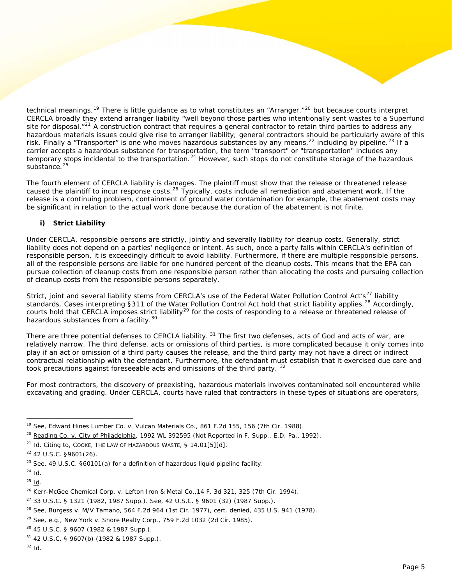technical meanings.<sup>[19](#page-4-0)</sup> There is little guidance as to what constitutes an "Arranger,"<sup>[20](#page-4-1)</sup> but because courts interpret CERCLA broadly they extend arranger liability "well beyond those parties who intentionally sent wastes to a Superfund site for disposal.<sup>"[21](#page-4-2)</sup> A construction contract that requires a general contractor to retain third parties to address any hazardous materials issues could give rise to arranger liability; general contractors should be particularly aware of this risk. Finally a "Transporter" is one who moves hazardous substances by any means,  $2^2$  including by pipeline.  $2^3$  If a carrier accepts a hazardous substance for transportation, the term "transport" or "transportation" includes any temporary stops incidental to the transportation.<sup>[24](#page-4-5)</sup> However, such stops do not constitute storage of the hazardous substance.<sup>[25](#page-4-6)</sup>

The fourth element of CERCLA liability is damages. The plaintiff must show that the release or threatened release caused the plaintiff to incur response costs.[26](#page-4-7) Typically, costs include all remediation and abatement work. If the release is a continuing problem, containment of ground water contamination for example, the abatement costs may be significant in relation to the actual work done because the duration of the abatement is not finite.

## **i) Strict Liability**

Under CERCLA, responsible persons are strictly, jointly and severally liability for cleanup costs. Generally, strict liability does not depend on a parties' negligence or intent. As such, once a party falls within CERCLA's definition of responsible person, it is exceedingly difficult to avoid liability. Furthermore, if there are multiple responsible persons, all of the responsible persons are liable for one hundred percent of the cleanup costs. This means that the EPA can pursue collection of cleanup costs from one responsible person rather than allocating the costs and pursuing collection of cleanup costs from the responsible persons separately.

Strict, joint and several liability stems from CERCLA's use of the Federal Water Pollution Control Act's<sup>[27](#page-4-8)</sup> liability standards. Cases interpreting §311 of the Water Pollution Control Act hold that strict liability applies.<sup>[28](#page-4-9)</sup> Accordingly, courts hold that CERCLA imposes strict liability<sup>[29](#page-4-10)</sup> for the costs of responding to a release or threatened release of hazardous substances from a facility.<sup>[30](#page-4-11)</sup>

There are three potential defenses to CERCLA liability. <sup>[31](#page-4-12)</sup> The first two defenses, acts of God and acts of war, are relatively narrow. The third defense, acts or omissions of third parties, is more complicated because it only comes into play if an act or omission of a third party causes the release, and the third party may not have a direct or indirect contractual relationship with the defendant. Furthermore, the defendant must establish that it exercised due care and took precautions against foreseeable acts and omissions of the third party.<sup>[32](#page-4-13)</sup>

For most contractors, the discovery of preexisting, hazardous materials involves contaminated soil encountered while excavating and grading. Under CERCLA, courts have ruled that contractors in these types of situations are operators,

<span id="page-4-0"></span> $\overline{a}$ 19 See, Edward Hines Lumber Co. v. Vulcan Materials Co.*,* 861 F.2d 155, 156 (7th Cir. 1988).

<span id="page-4-1"></span> $^{20}$  Reading Co. v. City of Philadelphia, 1992 WL 392595 (Not Reported in F. Supp., E.D. Pa., 1992).

<span id="page-4-2"></span><sup>&</sup>lt;sup>21</sup> Id. Citing to, COOKE, THE LAW OF HAZARDOUS WASTE, § 14.01[5][d].

<span id="page-4-3"></span><sup>22 42</sup> U.S.C. §9601(26).

<span id="page-4-4"></span><sup>&</sup>lt;sup>23</sup> See, 49 U.S.C. §60101(a) for a definition of hazardous liquid pipeline facility.

<span id="page-4-5"></span> $^{24}$  Id.

<span id="page-4-6"></span> $^{25}$  Id.

<span id="page-4-7"></span><sup>26</sup> Kerr-McGee Chemical Corp. v. Lefton Iron & Metal Co.*,*14 F. 3d 321, 325 (7th Cir. 1994).

<span id="page-4-8"></span> $27$  33 U.S.C. § 1321 (1982, 1987 Supp.). See, 42 U.S.C. § 9601 (32) (1987 Supp.).

<span id="page-4-9"></span><sup>&</sup>lt;sup>28</sup> See, Burgess v. M/V Tamano, 564 F.2d 964 (1st Cir. 1977), cert. denied, 435 U.S. 941 (1978).

<span id="page-4-10"></span> $29$  See, e.g., New York v. Shore Realty Corp., 759 F.2d 1032 (2d Cir. 1985).

<span id="page-4-11"></span><sup>30 45</sup> U.S.C. § 9607 (1982 & 1987 Supp.).

<span id="page-4-12"></span><sup>31 42</sup> U.S.C. § 9607(b) (1982 & 1987 Supp.).

<span id="page-4-13"></span> $32$  Id.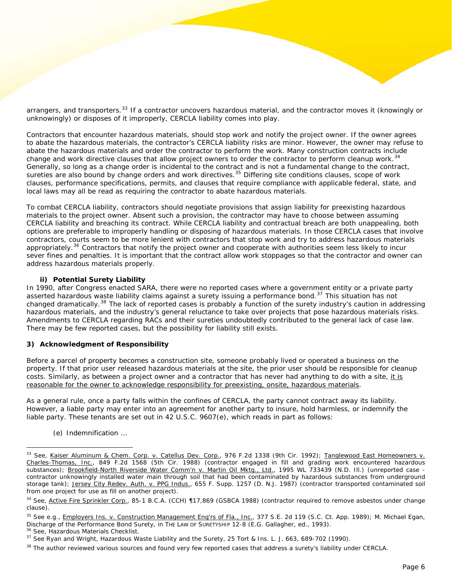arrangers, and transporters.<sup>[33](#page-5-0)</sup> If a contractor uncovers hazardous material, and the contractor moves it (knowingly or unknowingly) or disposes of it improperly, CERCLA liability comes into play.

Contractors that encounter hazardous materials, should stop work and notify the project owner. If the owner agrees to abate the hazardous materials, the contractor's CERCLA liability risks are minor. However, the owner may refuse to abate the hazardous materials and order the contractor to perform the work. Many construction contracts include change and work directive clauses that allow project owners to order the contractor to perform cleanup work.<sup>[34](#page-5-1)</sup> Generally, so long as a change order is incidental to the contract and is not a fundamental change to the contract, sureties are also bound by change orders and work directives.<sup>[35](#page-5-2)</sup> Differing site conditions clauses, scope of work clauses, performance specifications, permits, and clauses that require compliance with applicable federal, state, and local laws may all be read as requiring the contractor to abate hazardous materials.

To combat CERCLA liability, contractors should negotiate provisions that assign liability for preexisting hazardous materials to the project owner. Absent such a provision, the contractor may have to choose between assuming CERCLA liability and breaching its contract. While CERCLA liability and contractual breach are both unappealing, both options are preferable to improperly handling or disposing of hazardous materials. In those CERCLA cases that involve contractors, courts seem to be more lenient with contractors that stop work and try to address hazardous materials appropriately.<sup>[36](#page-5-3)</sup> Contractors that notify the project owner and cooperate with authorities seem less likely to incur sever fines and penalties. It is important that the contract allow work stoppages so that the contractor and owner can address hazardous materials properly.

#### **ii) Potential Surety Liability**

In 1990, after Congress enacted SARA, there were no reported cases where a government entity or a private party asserted hazardous waste liability claims against a surety issuing a performance bond.<sup>[37](#page-5-4)</sup> This situation has not changed dramatically.<sup>[38](#page-5-5)</sup> The lack of reported cases is probably a function of the surety industry's caution in addressing hazardous materials, and the industry's general reluctance to take over projects that pose hazardous materials risks. Amendments to CERCLA regarding RACs and their sureties undoubtedly contributed to the general lack of case law. There may be few reported cases, but the possibility for liability still exists.

#### **3) Acknowledgment of Responsibility**

Before a parcel of property becomes a construction site, someone probably lived or operated a business on the property. If that prior user released hazardous materials at the site, the prior user should be responsible for cleanup costs. Similarly, as between a project owner and a contractor that has never had anything to do with a site, it is reasonable for the owner to acknowledge responsibility for preexisting, onsite, hazardous materials.

As a general rule, once a party falls within the confines of CERCLA, the party cannot contract away its liability. However, a liable party may enter into an agreement for another party to insure, hold harmless, or indemnify the liable party. These tenants are set out in 42 U.S.C. 9607(e), which reads in part as follows:

(e) Indemnification …

<span id="page-5-3"></span>

<span id="page-5-0"></span><sup>&</sup>lt;sup>33</sup> See, Kaiser Aluminum & Chem. Corp. v. Catellus Dev. Corp., 976 F.2d 1338 (9th Cir. 1992); Tanglewood East Homeowners v. Charles-Thomas, Inc., 849 F.2d 1568 (5th Cir. 1988) (contractor engaged in fill and grading work encountered hazardous substances); Brookfield-North Riverside Water Comm'n v. Martin Oil Mktg., Ltd., 1995 WL 733439 (N.D. III.) (unreported case contractor unknowingly installed water main through soil that had been contaminated by hazardous substances from underground storage tank); Jersey City Redev. Auth. v. PPG Indus., 655 F. Supp. 1257 (D. N.J. 1987) (contractor transported contaminated soil from one project for use as fill on another project).

<span id="page-5-1"></span><sup>&</sup>lt;sup>34</sup> See, Active Fire Sprinkler Corp., 85-1 B.C.A. (CCH) [17,869 (GSBCA 1988) (contractor required to remove asbestos under change clause).

<span id="page-5-2"></span><sup>&</sup>lt;sup>35</sup> See e.g., Employers Ins. v. Construction Management Eng'rs of Fla., Inc., 377 S.E. 2d 119 (S.C. Ct. App. 1989); M. Michael Egan, Discharge of the Performance Bond Surety, in THE LAW OF SURETYSHIP 12-8 (E.G. Gallagher, ed., 1993).<br><sup>36</sup> See, Hazardous Materials Checklist.<br><sup>37</sup> See Ryan and Wright, *Hazardous Waste Liability and the Surety*, 25 Tort &

<span id="page-5-4"></span>

<span id="page-5-5"></span> $38$  The author reviewed various sources and found very few reported cases that address a surety's liability under CERCLA.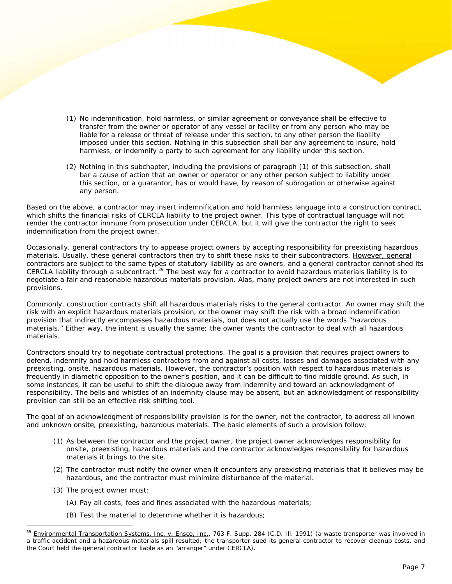- (1) No indemnification, hold harmless, or similar agreement or conveyance shall be effective to transfer from the owner or operator of any vessel or facility or from any person who may be liable for a release or threat of release under this section, to any other person the liability imposed under this section. Nothing in this subsection shall bar any agreement to insure, hold harmless, or indemnify a party to such agreement for any liability under this section.
- (2) Nothing in this subchapter, including the provisions of paragraph (1) of this subsection, shall bar a cause of action that an owner or operator or any other person subject to liability under this section, or a guarantor, has or would have, by reason of subrogation or otherwise against any person.

Based on the above, a contractor may insert indemnification and hold harmless language into a construction contract, which shifts the financial risks of CERCLA liability to the project owner. This type of contractual language will not render the contractor immune from prosecution under CERCLA, but it will give the contractor the right to seek indemnification from the project owner.

Occasionally, general contractors try to appease project owners by accepting responsibility for preexisting hazardous materials. Usually, these general contractors then try to shift these risks to their subcontractors. However, general contractors are subject to the same types of statutory liability as are owners, and a general contractor cannot shed its CERCLA liability through a subcontract.<sup>[39](#page-6-0)</sup> The best way for a contractor to avoid hazardous materials liability is to negotiate a fair and reasonable hazardous materials provision. Alas, many project owners are not interested in such provisions.

Commonly, construction contracts shift all hazardous materials risks to the general contractor. An owner may shift the risk with an explicit hazardous materials provision, or the owner may shift the risk with a broad indemnification provision that indirectly encompasses hazardous materials, but does not actually use the words "hazardous materials." Either way, the intent is usually the same; the owner wants the contractor to deal with all hazardous materials.

Contractors should try to negotiate contractual protections. The goal is a provision that requires project owners to defend, indemnify and hold harmless contractors from and against all costs, losses and damages associated with any preexisting, onsite, hazardous materials. However, the contractor's position with respect to hazardous materials is frequently in diametric opposition to the owner's position, and it can be difficult to find middle ground. As such, in some instances, it can be useful to shift the dialogue away from indemnity and toward an acknowledgment of responsibility. The bells and whistles of an indemnity clause may be absent, but an acknowledgment of responsibility provision can still be an effective risk shifting tool.

The goal of an acknowledgment of responsibility provision is for the owner, not the contractor, to address all known and unknown onsite, preexisting, hazardous materials. The basic elements of such a provision follow:

- (1) As between the contractor and the project owner, the project owner acknowledges responsibility for onsite, preexisting, hazardous materials and the contractor acknowledges responsibility for hazardous materials it brings to the site.
- (2) The contractor must notify the owner when it encounters any preexisting materials that it believes may be hazardous, and the contractor must minimize disturbance of the material.
- (3) The project owner must:

- (A) Pay all costs, fees and fines associated with the hazardous materials;
- (B) Test the material to determine whether it is hazardous;

<span id="page-6-0"></span>Environmental Transportation Systems, Inc. v. Ensco, Inc., 763 F. Supp. 284 (C.D. III. 1991) (a waste transporter was involved in a traffic accident and a hazardous materials spill resulted; the transporter sued its general contractor to recover cleanup costs, and the Court held the general contractor liable as an "arranger" under CERCLA).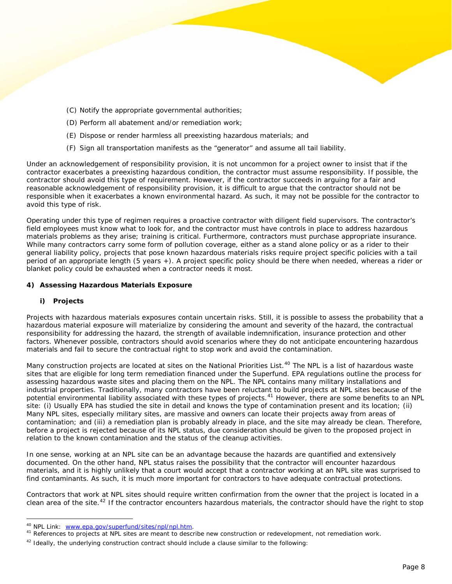- (C) Notify the appropriate governmental authorities;
- (D) Perform all abatement and/or remediation work;
- (E) Dispose or render harmless all preexisting hazardous materials; and
- (F) Sign all transportation manifests as the "generator" and assume all tail liability.

Under an acknowledgement of responsibility provision, it is not uncommon for a project owner to insist that if the contractor exacerbates a preexisting hazardous condition, the contractor must assume responsibility. If possible, the contractor should avoid this type of requirement. However, if the contractor succeeds in arguing for a fair and reasonable acknowledgement of responsibility provision, it is difficult to argue that the contractor should not be responsible when it exacerbates a known environmental hazard. As such, it may not be possible for the contractor to avoid this type of risk.

Operating under this type of regimen requires a proactive contractor with diligent field supervisors. The contractor's field employees must know what to look for, and the contractor must have controls in place to address hazardous materials problems as they arise; training is critical. Furthermore, contractors must purchase appropriate insurance. While many contractors carry some form of pollution coverage, either as a stand alone policy or as a rider to their general liability policy, projects that pose known hazardous materials risks require project specific policies with a tail period of an appropriate length (5 years +). A project specific policy should be there when needed, whereas a rider or blanket policy could be exhausted when a contractor needs it most.

#### **4) Assessing Hazardous Materials Exposure**

## **i) Projects**

 $\overline{a}$ 

Projects with hazardous materials exposures contain uncertain risks. Still, it is possible to assess the probability that a hazardous material exposure will materialize by considering the amount and severity of the hazard, the contractual responsibility for addressing the hazard, the strength of available indemnification, insurance protection and other factors. Whenever possible, contractors should avoid scenarios where they do not anticipate encountering hazardous materials and fail to secure the contractual right to stop work and avoid the contamination.

Many construction projects are located at sites on the National Priorities List.<sup>[40](#page-7-0)</sup> The NPL is a list of hazardous waste sites that are eligible for long term remediation financed under the Superfund. EPA regulations outline the process for assessing hazardous waste sites and placing them on the NPL. The NPL contains many military installations and industrial properties. Traditionally, many contractors have been reluctant to build projects at NPL sites because of the potential environmental liability associated with these types of projects.<sup>[41](#page-7-1)</sup> However, there are some benefits to an NPL site: (i) Usually EPA has studied the site in detail and knows the type of contamination present and its location; (ii) Many NPL sites, especially military sites, are massive and owners can locate their projects away from areas of contamination; and (iii) a remediation plan is probably already in place, and the site may already be clean. Therefore, before a project is rejected because of its NPL status, due consideration should be given to the proposed project in relation to the known contamination and the status of the cleanup activities.

In one sense, working at an NPL site can be an advantage because the hazards are quantified and extensively documented. On the other hand, NPL status raises the possibility that the contractor will encounter hazardous materials, and it is highly unlikely that a court would accept that a contractor working at an NPL site was surprised to find contaminants. As such, it is much more important for contractors to have adequate contractual protections.

Contractors that work at NPL sites should require written confirmation from the owner that the project is located in a clean area of the site.<sup>[42](#page-7-2)</sup> If the contractor encounters hazardous materials, the contractor should have the right to stop

<span id="page-7-1"></span><span id="page-7-0"></span>

<sup>&</sup>lt;sup>40</sup> NPL Link: [www.epa.gov/superfund/sites/npl/npl.htm](http://www.epa.gov/superfund/sites/npl/npl.htm).<br><sup>41</sup> References to projects at NPL sites are meant to describe new construction or redevelopment, not remediation work.

<span id="page-7-2"></span> $42$  Ideally, the underlying construction contract should include a clause similar to the following: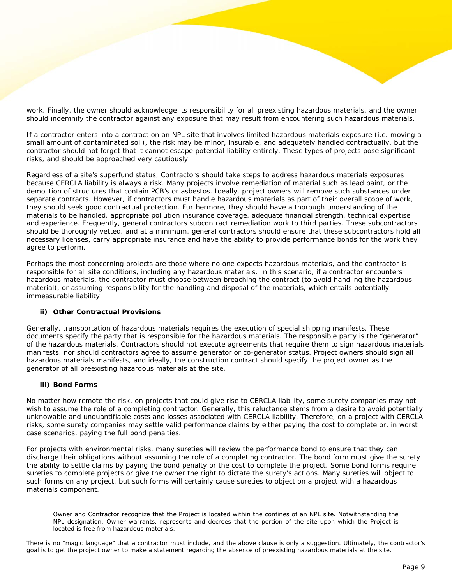work. Finally, the owner should acknowledge its responsibility for all preexisting hazardous materials, and the owner should indemnify the contractor against any exposure that may result from encountering such hazardous materials.

If a contractor enters into a contract on an NPL site that involves limited hazardous materials exposure (i.e. moving a small amount of contaminated soil), the risk may be minor, insurable, and adequately handled contractually, but the contractor should not forget that it cannot escape potential liability entirely. These types of projects pose significant risks, and should be approached very cautiously.

Regardless of a site's superfund status, Contractors should take steps to address hazardous materials exposures because CERCLA liability is always a risk. Many projects involve remediation of material such as lead paint, or the demolition of structures that contain PCB's or asbestos. Ideally, project owners will remove such substances under separate contracts. However, if contractors must handle hazardous materials as part of their overall scope of work, they should seek good contractual protection. Furthermore, they should have a thorough understanding of the materials to be handled, appropriate pollution insurance coverage, adequate financial strength, technical expertise and experience. Frequently, general contractors subcontract remediation work to third parties. These subcontractors should be thoroughly vetted, and at a minimum, general contractors should ensure that these subcontractors hold all necessary licenses, carry appropriate insurance and have the ability to provide performance bonds for the work they agree to perform.

Perhaps the most concerning projects are those where no one expects hazardous materials, and the contractor is responsible for all site conditions, including any hazardous materials. In this scenario, if a contractor encounters hazardous materials, the contractor must choose between breaching the contract (to avoid handling the hazardous material), or assuming responsibility for the handling and disposal of the materials, which entails potentially immeasurable liability.

#### **ii) Other Contractual Provisions**

Generally, transportation of hazardous materials requires the execution of special shipping manifests. These documents specify the party that is responsible for the hazardous materials. The responsible party is the "generator" of the hazardous materials. Contractors should not execute agreements that require them to sign hazardous materials manifests, nor should contractors agree to assume generator or co-generator status. Project owners should sign all hazardous materials manifests, and ideally, the construction contract should specify the project owner as the generator of all preexisting hazardous materials at the site.

#### **iii) Bond Forms**

 $\overline{a}$ 

No matter how remote the risk, on projects that could give rise to CERCLA liability, some surety companies may not wish to assume the role of a completing contractor. Generally, this reluctance stems from a desire to avoid potentially unknowable and unquantifiable costs and losses associated with CERCLA liability. Therefore, on a project with CERCLA risks, some surety companies may settle valid performance claims by either paying the cost to complete or, in worst case scenarios, paying the full bond penalties.

For projects with environmental risks, many sureties will review the performance bond to ensure that they can discharge their obligations without assuming the role of a completing contractor. The bond form must give the surety the ability to settle claims by paying the bond penalty or the cost to complete the project. Some bond forms require sureties to complete projects or give the owner the right to dictate the surety's actions. Many sureties will object to such forms on any project, but such forms will certainly cause sureties to object on a project with a hazardous materials component.

Owner and Contractor recognize that the Project is located within the confines of an NPL site. Notwithstanding the NPL designation, Owner warrants, represents and decrees that the portion of the site upon which the Project is located is free from hazardous materials.

There is no "magic language" that a contractor must include, and the above clause is only a suggestion. Ultimately, the contractor's goal is to get the project owner to make a statement regarding the absence of preexisting hazardous materials at the site.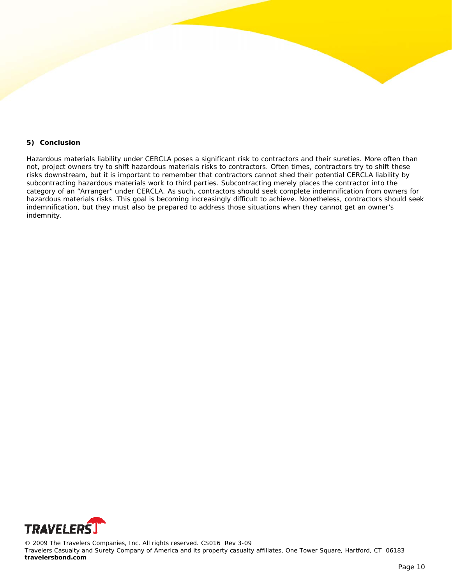#### **5) Conclusion**

Hazardous materials liability under CERCLA poses a significant risk to contractors and their sureties. More often than not, project owners try to shift hazardous materials risks to contractors. Often times, contractors try to shift these risks downstream, but it is important to remember that contractors cannot shed their potential CERCLA liability by subcontracting hazardous materials work to third parties. Subcontracting merely places the contractor into the category of an "Arranger" under CERCLA. As such, contractors should seek complete indemnification from owners for hazardous materials risks. This goal is becoming increasingly difficult to achieve. Nonetheless, contractors should seek indemnification, but they must also be prepared to address those situations when they cannot get an owner's indemnity.



© 2009 The Travelers Companies, Inc. All rights reserved. CS016 Rev 3-09 Travelers Casualty and Surety Company of America and its property casualty affiliates, One Tower Square, Hartford, CT 06183 **travelersbond.com**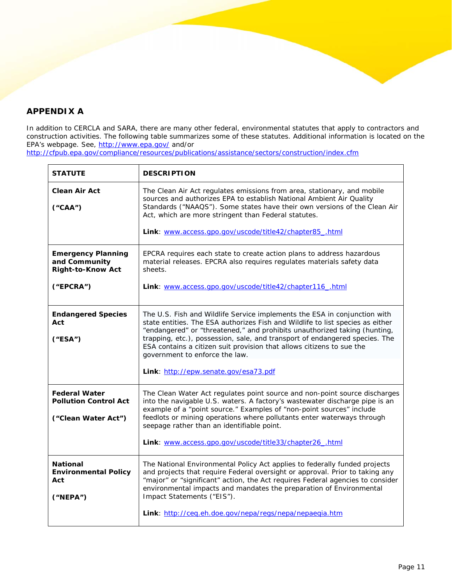# **APPENDIX A**

In addition to CERCLA and SARA, there are many other federal, environmental statutes that apply to contractors and construction activities. The following table summarizes some of these statutes. Additional information is located on the EPA's webpage. See, <http://www.epa.gov/>and/or

<http://cfpub.epa.gov/compliance/resources/publications/assistance/sectors/construction/index.cfm>

| <b>STATUTE</b>                                                              | <b>DESCRIPTION</b>                                                                                                                                                                                                                                                                                                                                                                                                                 |
|-----------------------------------------------------------------------------|------------------------------------------------------------------------------------------------------------------------------------------------------------------------------------------------------------------------------------------------------------------------------------------------------------------------------------------------------------------------------------------------------------------------------------|
| <b>Clean Air Act</b><br>("CAA")                                             | The Clean Air Act regulates emissions from area, stationary, and mobile<br>sources and authorizes EPA to establish National Ambient Air Quality<br>Standards ("NAAQS"). Some states have their own versions of the Clean Air<br>Act, which are more stringent than Federal statutes.<br>Link: www.access.gpo.gov/uscode/title42/chapter85_.html                                                                                    |
|                                                                             |                                                                                                                                                                                                                                                                                                                                                                                                                                    |
| <b>Emergency Planning</b><br>and Community<br><b>Right-to-Know Act</b>      | EPCRA requires each state to create action plans to address hazardous<br>material releases. EPCRA also requires regulates materials safety data<br>sheets.                                                                                                                                                                                                                                                                         |
| ("EPCRA")                                                                   | Link: www.access.gpo.gov/uscode/title42/chapter116_.html                                                                                                                                                                                                                                                                                                                                                                           |
| <b>Endangered Species</b><br>Act<br>("ESA")                                 | The U.S. Fish and Wildlife Service implements the ESA in conjunction with<br>state entities. The ESA authorizes Fish and Wildlife to list species as either<br>"endangered" or "threatened," and prohibits unauthorized taking (hunting,<br>trapping, etc.), possession, sale, and transport of endangered species. The<br>ESA contains a citizen suit provision that allows citizens to sue the<br>government to enforce the law. |
|                                                                             | Link: http://epw.senate.gov/esa73.pdf                                                                                                                                                                                                                                                                                                                                                                                              |
| <b>Federal Water</b><br><b>Pollution Control Act</b><br>("Clean Water Act") | The Clean Water Act regulates point source and non-point source discharges<br>into the navigable U.S. waters. A factory's wastewater discharge pipe is an<br>example of a "point source." Examples of "non-point sources" include<br>feedlots or mining operations where pollutants enter waterways through<br>seepage rather than an identifiable point.                                                                          |
|                                                                             | Link: www.access.gpo.gov/uscode/title33/chapter26_.html                                                                                                                                                                                                                                                                                                                                                                            |
| <b>National</b><br><b>Environmental Policy</b><br>Act<br>("NEPA")           | The National Environmental Policy Act applies to federally funded projects<br>and projects that require Federal oversight or approval. Prior to taking any<br>"major" or "significant" action, the Act requires Federal agencies to consider<br>environmental impacts and mandates the preparation of Environmental<br>Impact Statements ("EIS").                                                                                  |
|                                                                             | Link: http://ceq.eh.doe.gov/nepa/regs/nepa/nepaegia.htm                                                                                                                                                                                                                                                                                                                                                                            |